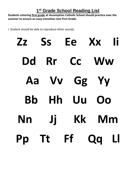## **1 st Grade School Reading List**

**Students entering first grade at Assumption Catholic School should practice over the summer to ensure an easy transition into First Grade.** 

I. Student should be able to reproduce letter sounds.

**Zz Ss Ee Xx Ii Dd Rr Cc Ww Aa Vv Gg Yy Bb Hh Uu Oo Nn Jj Kk Mm Pp Tt Ff Qq Ll**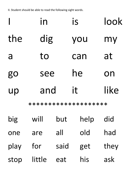II. Student should be able to read the following sight words.

|           | in  | is  | look |
|-----------|-----|-----|------|
| the       | dig | you | my   |
| a         | to  | can | at   |
| <b>go</b> | see | he  | on   |
| up        | and | it  | like |
|           |     |     |      |

\*\*\*\*\*\*\*\*\*\*\*\*\*\*\*\*\*\*\*\*

| big  | will   | but  | help | did  |
|------|--------|------|------|------|
| one  | are    | all  | old  | had  |
| play | for    | said | get  | they |
| stop | little | eat  | his  | ask  |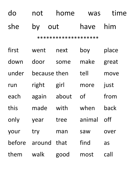| do | not | home | was | time |
|----|-----|------|-----|------|
|    |     |      |     |      |

# she by out have him

\*\*\*\*\*\*\*\*\*\*\*\*\*\*\*\*\*

| first  | went         | next  | boy       | place |
|--------|--------------|-------|-----------|-------|
| down   | door         | some  | make      | great |
| under  | because then |       | tell      | move  |
| run    | right        | girl  | more      | just  |
| each   | again        | about | <b>of</b> | from  |
| this   | made         | with  | when      | back  |
| only   | year         | tree  | animal    | off   |
| your   | try          | man   | saw       | over  |
| before | around       | that  | find      | as    |
| them   | walk         | good  | most      | call  |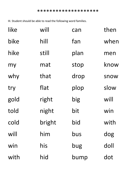III. Student should be able to read the following word families.

| like | will   | can  | then |
|------|--------|------|------|
| bike | hill   | fan  | when |
| hike | still  | plan | men  |
| my   | mat    | stop | know |
| why  | that   | drop | snow |
| try  | flat   | plop | slow |
| gold | right  | big  | will |
| told | night  | bit  | win  |
| cold | bright | bid  | with |
| will | him    | bus  | dog  |
| win  | his    | bug  | doll |
| with | hid    | bump | dot  |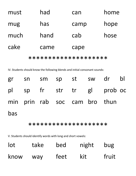| must | had  | can  | home |
|------|------|------|------|
| mug  | has  | camp | hope |
| much | hand | cab  | hose |
| cake | came | cape |      |
|      |      |      |      |

\*\*\*\*\*\*\*\*\*\*\*\*\*\*\*\*\*

IV. Students should know the following blends and initial consonant sounds:

|     |  |                               | gr sn sm sp st sw dr bl    |  |
|-----|--|-------------------------------|----------------------------|--|
|     |  |                               | pl sp fr str tr gl prob oc |  |
|     |  | min prin rab soc cam bro thun |                            |  |
| bas |  |                               |                            |  |

### \*\*\*\*\*\*\*\*\*\*\*\*\*\*\*\*\*

V. Students should identify words with long and short vowels:

| $\overline{\text{lot}}$ | take | bed  | night | bug   |
|-------------------------|------|------|-------|-------|
| know                    | way  | feet | kit   | fruit |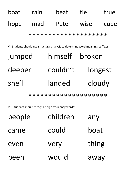boat rain beat tie true hope mad Pete wise cube \*\*\*\*\*\*\*\*\*\*\*\*\*\*\*\*\*\*\*\*

VI. Students should use structural analysis to determine word meaning: suffixes:

| jumped | himself  | broken  |
|--------|----------|---------|
| deeper | couldn't | longest |
| she'll | landed   | cloudy  |

\*\*\*\*\*\*\*\*\*\*\*\*\*\*\*\*\*

VII. Students should recognize high frequency words:

| people | children | any   |
|--------|----------|-------|
| came   | could    | boat  |
| even   | very     | thing |
| been   | would    | away  |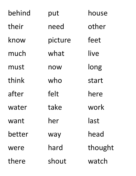| behind | put     | house   |
|--------|---------|---------|
| their  | need    | other   |
| know   | picture | feet    |
| much   | what    | live    |
| must   | now     | long    |
| think  | who     | start   |
| after  | felt    | here    |
| water  | take    | work    |
| want   | her     | last    |
| better | way     | head    |
| were   | hard    | thought |
| there  | shout   | watch   |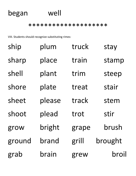## began well

\*\*\*\*\*\*\*\*\*\*\*\*\*\*\*\*\*\*

VIII. Students should recognize substituting rimes:

| ship   | plum   | truck | stay    |
|--------|--------|-------|---------|
| sharp  | place  | train | stamp   |
| shell  | plant  | trim  | steep   |
| shore  | plate  | treat | stair   |
| sheet  | please | track | stem    |
| shoot  | plead  | trot  | stir    |
| grow   | bright | grape | brush   |
| ground | brand  | grill | brought |
| grab   | brain  | grew  | broil   |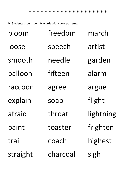IX. Students should identify words with vowel patterns:

| bloom    | freedom  | march     |
|----------|----------|-----------|
| loose    | speech   | artist    |
| smooth   | needle   | garden    |
| balloon  | fifteen  | alarm     |
| raccoon  | agree    | argue     |
| explain  | soap     | flight    |
| afraid   | throat   | lightning |
| paint    | toaster  | frighten  |
| trail    | coach    | highest   |
| straight | charcoal | sigh      |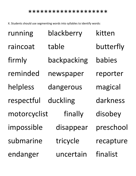#### \*\*\*\*\*\*\*\*\*\*\*\*\*\*\*\*\*\*

X. Students should use segmenting words into syllables to identify words:

| running      | blackberry  | kitten    |
|--------------|-------------|-----------|
| raincoat     | table       | butterfly |
| firmly       | backpacking | babies    |
| reminded     | newspaper   | reporter  |
| helpless     | dangerous   | magical   |
| respectful   | duckling    | darkness  |
| motorcyclist | finally     | disobey   |
| impossible   | disappear   | preschool |
| submarine    | tricycle    | recapture |
| endanger     | uncertain   | finalist  |